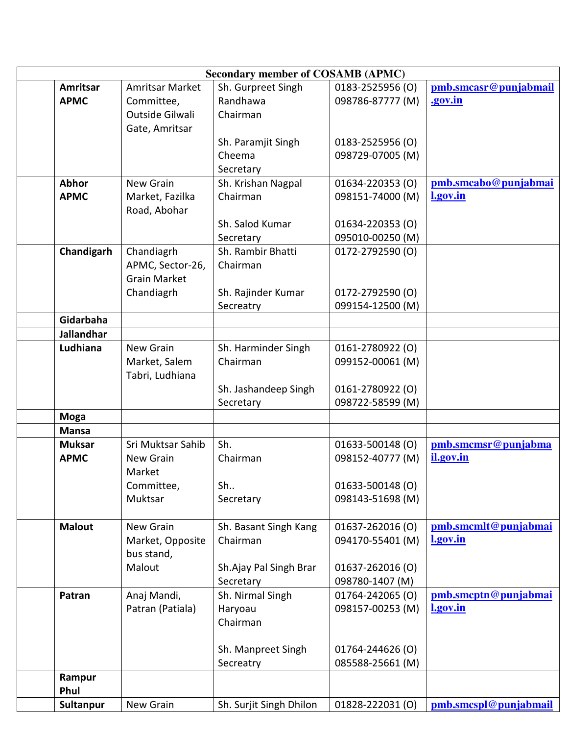| <b>Secondary member of COSAMB (APMC)</b> |                            |                         |                  |                                  |  |  |
|------------------------------------------|----------------------------|-------------------------|------------------|----------------------------------|--|--|
| Amritsar                                 | <b>Amritsar Market</b>     | Sh. Gurpreet Singh      | 0183-2525956 (O) | pmb.smcasr@punjabmail            |  |  |
| <b>APMC</b>                              | Committee,                 | Randhawa                | 098786-87777 (M) | .gov.in                          |  |  |
|                                          | Outside Gilwali            | Chairman                |                  |                                  |  |  |
|                                          | Gate, Amritsar             |                         |                  |                                  |  |  |
|                                          |                            | Sh. Paramjit Singh      | 0183-2525956 (O) |                                  |  |  |
|                                          |                            | Cheema                  | 098729-07005 (M) |                                  |  |  |
|                                          |                            | Secretary               |                  |                                  |  |  |
| <b>Abhor</b>                             | <b>New Grain</b>           | Sh. Krishan Nagpal      | 01634-220353 (O) | pmb.smcabo@punjabmai             |  |  |
| <b>APMC</b>                              | Market, Fazilka            | Chairman                | 098151-74000 (M) | l.gov.in                         |  |  |
|                                          | Road, Abohar               |                         |                  |                                  |  |  |
|                                          |                            | Sh. Salod Kumar         | 01634-220353 (O) |                                  |  |  |
|                                          |                            | Secretary               | 095010-00250 (M) |                                  |  |  |
| Chandigarh                               | Chandiagrh                 | Sh. Rambir Bhatti       | 0172-2792590 (O) |                                  |  |  |
|                                          | APMC, Sector-26,           | Chairman                |                  |                                  |  |  |
|                                          | <b>Grain Market</b>        |                         |                  |                                  |  |  |
|                                          | Chandiagrh                 | Sh. Rajinder Kumar      | 0172-2792590 (O) |                                  |  |  |
|                                          |                            | Secreatry               | 099154-12500 (M) |                                  |  |  |
| Gidarbaha                                |                            |                         |                  |                                  |  |  |
| <b>Jallandhar</b>                        |                            |                         |                  |                                  |  |  |
| Ludhiana                                 | <b>New Grain</b>           | Sh. Harminder Singh     | 0161-2780922 (O) |                                  |  |  |
|                                          | Market, Salem              | Chairman                | 099152-00061 (M) |                                  |  |  |
|                                          | Tabri, Ludhiana            |                         |                  |                                  |  |  |
|                                          |                            | Sh. Jashandeep Singh    | 0161-2780922 (O) |                                  |  |  |
|                                          |                            | Secretary               | 098722-58599 (M) |                                  |  |  |
| <b>Moga</b>                              |                            |                         |                  |                                  |  |  |
| <b>Mansa</b>                             |                            |                         |                  |                                  |  |  |
| <b>Muksar</b>                            | Sri Muktsar Sahib          | Sh.                     | 01633-500148 (O) | pmb.smcmsr@punjabma<br>il.gov.in |  |  |
| <b>APMC</b>                              | <b>New Grain</b><br>Market | Chairman                | 098152-40777 (M) |                                  |  |  |
|                                          | Committee,                 | Sh                      | 01633-500148 (O) |                                  |  |  |
|                                          | Muktsar                    | Secretary               | 098143-51698 (M) |                                  |  |  |
|                                          |                            |                         |                  |                                  |  |  |
| <b>Malout</b>                            | <b>New Grain</b>           | Sh. Basant Singh Kang   | 01637-262016 (O) | pmb.smcmlt@punjabmai             |  |  |
|                                          | Market, Opposite           | Chairman                | 094170-55401 (M) | l.gov.in                         |  |  |
|                                          | bus stand,                 |                         |                  |                                  |  |  |
|                                          | Malout                     | Sh.Ajay Pal Singh Brar  | 01637-262016 (O) |                                  |  |  |
|                                          |                            | Secretary               | 098780-1407 (M)  |                                  |  |  |
| Patran                                   | Anaj Mandi,                | Sh. Nirmal Singh        | 01764-242065 (O) | pmb.smcptn@punjabmai             |  |  |
|                                          | Patran (Patiala)           | Haryoau                 | 098157-00253 (M) | l.gov.in                         |  |  |
|                                          |                            | Chairman                |                  |                                  |  |  |
|                                          |                            |                         |                  |                                  |  |  |
|                                          |                            | Sh. Manpreet Singh      | 01764-244626 (O) |                                  |  |  |
|                                          |                            | Secreatry               | 085588-25661 (M) |                                  |  |  |
| Rampur                                   |                            |                         |                  |                                  |  |  |
| Phul                                     |                            |                         |                  |                                  |  |  |
| Sultanpur                                | New Grain                  | Sh. Surjit Singh Dhilon | 01828-222031 (0) | pmb.smcspl@punjabmail            |  |  |